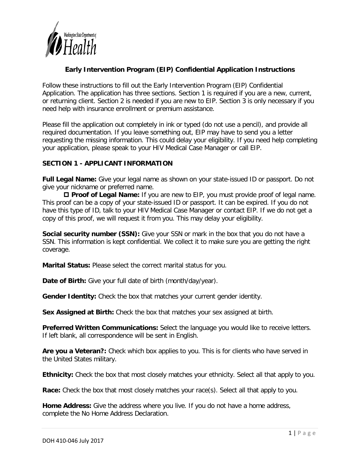

# **Early Intervention Program (EIP) Confidential Application Instructions**

Follow these instructions to fill out the Early Intervention Program (EIP) Confidential Application. The application has three sections. Section 1 is required if you are a new, current, or returning client. Section 2 is needed if you are new to EIP. Section 3 is only necessary if you need help with insurance enrollment or premium assistance.

Please fill the application out completely in ink or typed (do not use a pencil), and provide all required documentation. If you leave something out, EIP may have to send you a letter requesting the missing information. This could delay your eligibility. If you need help completing your application, please speak to your HIV Medical Case Manager or call EIP.

## **SECTION 1 - APPLICANT INFORMATION**

**Full Legal Name:** Give your legal name as shown on your state-issued ID or passport. Do not give your nickname or preferred name.

 **Proof of Legal Name:** If you are new to EIP, you must provide proof of legal name. This proof can be a copy of your state-issued ID or passport. It can be expired. If you do not have this type of ID, talk to your HIV Medical Case Manager or contact EIP. If we do not get a copy of this proof, we will request it from you. This may delay your eligibility.

**Social security number (SSN):** Give your SSN or mark in the box that you do not have a SSN. This information is kept confidential. We collect it to make sure you are getting the right coverage.

**Marital Status:** Please select the correct marital status for you.

**Date of Birth:** Give your full date of birth (month/day/year).

**Gender Identity:** Check the box that matches your current gender identity.

**Sex Assigned at Birth:** Check the box that matches your sex assigned at birth.

**Preferred Written Communications:** Select the language you would like to receive letters. If left blank, all correspondence will be sent in English.

**Are you a Veteran?:** Check which box applies to you. This is for clients who have served in the United States military.

**Ethnicity:** Check the box that most closely matches your ethnicity. Select all that apply to you.

**Race:** Check the box that most closely matches your race(s). Select all that apply to you.

**Home Address:** Give the address where you live. If you do not have a home address, complete the No Home Address Declaration.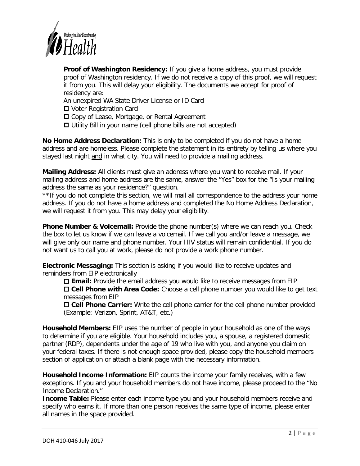

**Proof of Washington Residency:** If you give a home address, you must provide proof of Washington residency. If we do not receive a copy of this proof, we will request it from you. This will delay your eligibility. The documents we accept for proof of residency are:

An unexpired WA State Driver License or ID Card

- **□** Voter Registration Card
- □ Copy of Lease, Mortgage, or Rental Agreement
- Utility Bill in your name (cell phone bills are not accepted)

**No Home Address Declaration:** This is only to be completed if you do not have a home address and are homeless. Please complete the statement in its entirety by telling us where you stayed last night and in what city. You will need to provide a mailing address.

**Mailing Address:** All clients must give an address where you want to receive mail. If your mailing address and home address are the same, answer the "Yes" box for the "Is your mailing address the same as your residence?" question.

\*\*If you do not complete this section, we will mail all correspondence to the address your home address. If you do not have a home address and completed the No Home Address Declaration, we will request it from you. This may delay your eligibility.

**Phone Number & Voicemail:** Provide the phone number(s) where we can reach you. Check the box to let us know if we can leave a voicemail. If we call you and/or leave a message, we will give only our name and phone number. Your HIV status will remain confidential. If you do not want us to call you at work, please do not provide a work phone number.

**Electronic Messaging:** This section is asking if you would like to receive updates and reminders from EIP electronically

 **Email:** Provide the email address you would like to receive messages from EIP **Cell Phone with Area Code:** Choose a cell phone number you would like to get text messages from EIP

 **Cell Phone Carrier:** Write the cell phone carrier for the cell phone number provided (Example: Verizon, Sprint, AT&T, etc.)

**Household Members:** EIP uses the number of people in your household as one of the ways to determine if you are eligible. Your household includes you, a spouse, a registered domestic partner (RDP), dependents under the age of 19 who live with you, and anyone you claim on your federal taxes. If there is not enough space provided, please copy the household members section of application or attach a blank page with the necessary information.

**Household Income Information:** EIP counts the income your family receives, with a few exceptions. If you and your household members do not have income, please proceed to the "No Income Declaration."

**Income Table:** Please enter each income type you and your household members receive and specify who earns it. If more than one person receives the same type of income, please enter all names in the space provided.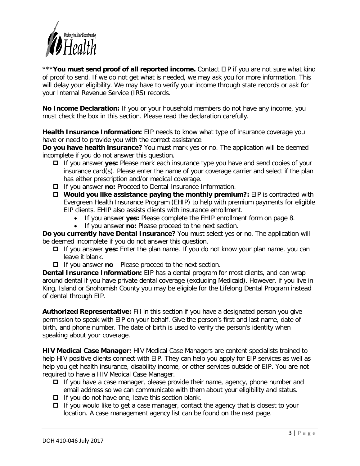

\*\*\***You must send proof of all reported income.** Contact EIP if you are not sure what kind of proof to send. If we do not get what is needed, we may ask you for more information. This will delay your eligibility. We may have to verify your income through state records or ask for your Internal Revenue Service (IRS) records.

**No Income Declaration:** If you or your household members do not have any income, you must check the box in this section. Please read the declaration carefully.

**Health Insurance Information:** EIP needs to know what type of insurance coverage you have or need to provide you with the correct assistance.

**Do you have health insurance?** You must mark yes or no. The application will be deemed incomplete if you do not answer this question.

- If you answer **yes:** Please mark each insurance type you have and send copies of your insurance card(s). Please enter the name of your coverage carrier and select if the plan has either prescription and/or medical coverage.
- If you answer **no:** Proceed to Dental Insurance Information.
- **Would you like assistance paying the monthly premium?:** EIP is contracted with Evergreen Health Insurance Program (EHIP) to help with premium payments for eligible EIP clients. EHIP also assists clients with insurance enrollment.
	- If you answer **yes:** Please complete the EHIP enrollment form on page 8.
	- If you answer **no:** Please proceed to the next section.

**Do you currently have Dental Insurance?** You must select yes or no. The application will be deemed incomplete if you do not answer this question.

- If you answer **yes:** Enter the plan name. If you do not know your plan name, you can leave it blank.
- If you answer **no**  Please proceed to the next section.

**Dental Insurance Information:** EIP has a dental program for most clients, and can wrap around dental if you have private dental coverage (excluding Medicaid). However, if you live in King, Island or Snohomish County you may be eligible for the Lifelong Dental Program instead of dental through EIP.

**Authorized Representative:** Fill in this section if you have a designated person you give permission to speak with EIP on your behalf. Give the person's first and last name, date of birth, and phone number. The date of birth is used to verify the person's identity when speaking about your coverage.

**HIV Medical Case Manager:** HIV Medical Case Managers are content specialists trained to help HIV positive clients connect with EIP. They can help you apply for EIP services as well as help you get health insurance, disability income, or other services outside of EIP. You are not required to have a HIV Medical Case Manager.

- $\Box$  If you have a case manager, please provide their name, agency, phone number and email address so we can communicate with them about your eligibility and status.
- $\Box$  If you do not have one, leave this section blank.
- $\Box$  If you would like to get a case manager, contact the agency that is closest to your location. A case management agency list can be found on the next page.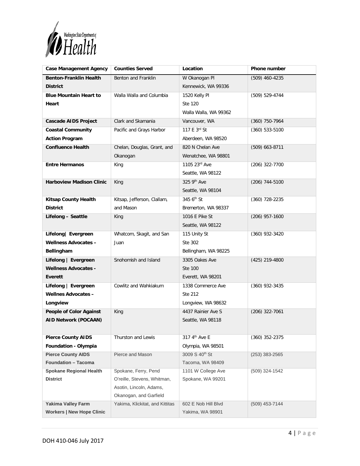

| <b>Case Management Agency</b>    | <b>Counties Served</b>                                    | Location                   | Phone number     |
|----------------------------------|-----------------------------------------------------------|----------------------------|------------------|
| <b>Benton-Franklin Health</b>    | Benton and Franklin                                       | W Okanogan PI              | (509) 460-4235   |
| <b>District</b>                  |                                                           | Kennewick, WA 99336        |                  |
| <b>Blue Mountain Heart to</b>    | Walla Walla and Columbia                                  | 1520 Kelly Pl              | (509) 529-4744   |
| Heart                            |                                                           | Ste 120                    |                  |
|                                  |                                                           | Walla Walla, WA 99362      |                  |
| <b>Cascade AIDS Project</b>      | Clark and Skamania                                        | Vancouver, WA              | $(360)$ 750-7964 |
| <b>Coastal Community</b>         | Pacific and Grays Harbor                                  | 117 E 3rd St               | $(360)$ 533-5100 |
| <b>Action Program</b>            |                                                           | Aberdeen, WA 98520         |                  |
| <b>Confluence Health</b>         | Chelan, Douglas, Grant, and                               | 820 N Chelan Ave           | $(509)$ 663-8711 |
|                                  | Okanogan                                                  | Wenatchee, WA 98801        |                  |
| <b>Entre Hermanos</b>            | King                                                      | 1105 23rd Ave              | (206) 322-7700   |
|                                  |                                                           | Seattle, WA 98122          |                  |
| <b>Harboview Madison Clinic</b>  | King                                                      | 325 9th Ave                | $(206)$ 744-5100 |
|                                  |                                                           | Seattle, WA 98104          |                  |
| <b>Kitsap County Health</b>      | Kitsap, Jefferson, Clallam,                               | 345 $6th$ St               | $(360)$ 728-2235 |
| <b>District</b>                  | and Mason                                                 | Bremerton, WA 98337        |                  |
| Lifelong - Seattle               | King                                                      | 1016 E Pike St             | $(206)$ 957-1600 |
|                                  |                                                           | Seattle, WA 98122          |                  |
| Lifelong   Evergreen             | Whatcom, Skagit, and San                                  | 115 Unity St               | $(360)$ 932-3420 |
| <b>Wellness Advocates -</b>      | Juan                                                      | Ste 302                    |                  |
| Bellingham                       |                                                           | Bellingham, WA 98225       |                  |
| Lifelong   Evergreen             | Snohomish and Island                                      | 3305 Oakes Ave             | $(425)$ 219-4800 |
| <b>Wellness Advocates -</b>      |                                                           | Ste 100                    |                  |
| Everett                          |                                                           | Everett, WA 98201          |                  |
| Lifelong   Evergreen             | Cowlitz and Wahkiakum                                     | 1338 Commerce Ave          | $(360)$ 932-3435 |
| <b>Wellnes Advocates -</b>       |                                                           | Ste 212                    |                  |
| Longview                         |                                                           | Longview, WA 98632         |                  |
| <b>People of Color Against</b>   | King                                                      | 4437 Rainier Ave S         | $(206)$ 322-7061 |
| <b>AID Network (POCAAN)</b>      |                                                           | Seattle, WA 98118          |                  |
|                                  |                                                           |                            |                  |
| <b>Pierce County AIDS</b>        | Thurston and Lewis                                        | 317 4 <sup>th</sup> Ave E  | $(360)$ 352-2375 |
| Foundation - Olympia             |                                                           | Olympia, WA 98501          |                  |
| <b>Pierce County AIDS</b>        | Pierce and Mason                                          | 3009 S 40 <sup>th</sup> St | $(253)$ 383-2565 |
| <b>Foundation - Tacoma</b>       |                                                           | Tacoma, WA 98409           |                  |
| <b>Spokane Regional Health</b>   | Spokane, Ferry, Pend                                      | 1101 W College Ave         | (509) 324-1542   |
| <b>District</b>                  | O'reille, Stevens, Whitman,                               | Spokane, WA 99201          |                  |
|                                  | Asotin, Lincoln, Adams,                                   |                            |                  |
| <b>Yakima Valley Farm</b>        | Okanogan, and Garfield<br>Yakima, Klickitat, and Kittitas | 602 E Nob Hill Blvd        | (509) 453-7144   |
| <b>Workers   New Hope Clinic</b> |                                                           | Yakima, WA 98901           |                  |
|                                  |                                                           |                            |                  |